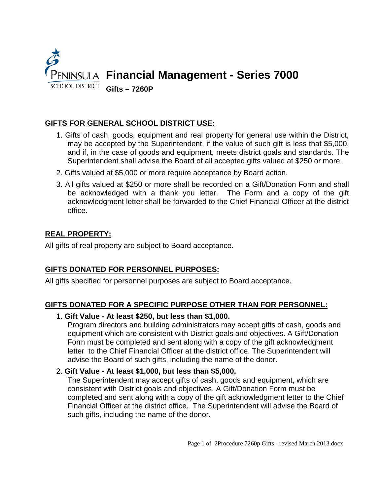

## **GIFTS FOR GENERAL SCHOOL DISTRICT USE:**

- 1. Gifts of cash, goods, equipment and real property for general use within the District, may be accepted by the Superintendent, if the value of such gift is less that \$5,000, and if, in the case of goods and equipment, meets district goals and standards. The Superintendent shall advise the Board of all accepted gifts valued at \$250 or more.
- 2. Gifts valued at \$5,000 or more require acceptance by Board action.
- 3. All gifts valued at \$250 or more shall be recorded on a Gift/Donation Form and shall be acknowledged with a thank you letter. The Form and a copy of the gift acknowledgment letter shall be forwarded to the Chief Financial Officer at the district office.

# **REAL PROPERTY:**

All gifts of real property are subject to Board acceptance.

## **GIFTS DONATED FOR PERSONNEL PURPOSES:**

All gifts specified for personnel purposes are subject to Board acceptance.

## **GIFTS DONATED FOR A SPECIFIC PURPOSE OTHER THAN FOR PERSONNEL:**

### 1. **Gift Value - At least \$250, but less than \$1,000.**

Program directors and building administrators may accept gifts of cash, goods and equipment which are consistent with District goals and objectives. A Gift/Donation Form must be completed and sent along with a copy of the gift acknowledgment letter to the Chief Financial Officer at the district office. The Superintendent will advise the Board of such gifts, including the name of the donor.

## 2. **Gift Value - At least \$1,000, but less than \$5,000.**

The Superintendent may accept gifts of cash, goods and equipment, which are consistent with District goals and objectives. A Gift/Donation Form must be completed and sent along with a copy of the gift acknowledgment letter to the Chief Financial Officer at the district office. The Superintendent will advise the Board of such gifts, including the name of the donor.